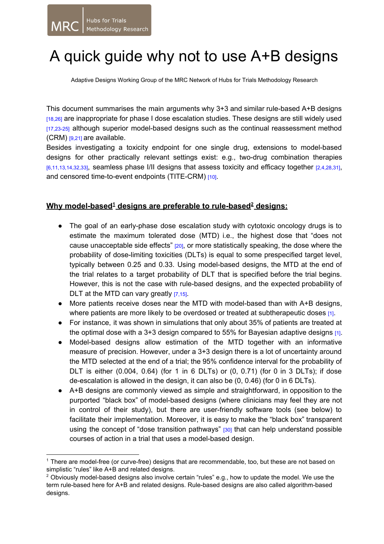## A quick guide why not to use A+B designs

Adaptive Designs Working Group of the MRC Network of Hubs for Trials Methodology Research

This document summarises the main arguments why 3+3 and similar rule-based A+B designs [18,26] are inappropriate for phase I dose escalation studies. These designs are still widely used [17,23-25] although superior model-based designs such as the continual reassessment method  $(CRM)$   $[9.21]$  are available.

Besides investigating a toxicity endpoint for one single drug, extensions to model-based designs for other practically relevant settings exist: e.g., two-drug combination therapies [6,11,13,14,32,33], seamless phase I/II designs that assess toxicity and efficacy together [2,4,28,31], and censored time-to-event endpoints (TITE-CRM) [10].

## <u>**Why model-based<sup>1</sup> designs are preferable to rule-based<sup>2</sup> designs:**</u>

- The goal of an early-phase dose escalation study with cytotoxic oncology drugs is to estimate the maximum tolerated dose (MTD) i.e., the highest dose that "does not cause unacceptable side effects" [20], or more statistically speaking, the dose where the probability of dose-limiting toxicities (DLTs) is equal to some prespecified target level, typically between 0.25 and 0.33. Using model-based designs, the MTD at the end of the trial relates to a target probability of DLT that is specified before the trial begins. However, this is not the case with rule-based designs, and the expected probability of DLT at the MTD can vary greatly [7,15].
- More patients receive doses near the MTD with model-based than with A+B designs, where patients are more likely to be overdosed or treated at subtherapeutic doses  $[1]$ .
- For instance, it was shown in simulations that only about 35% of patients are treated at the optimal dose with a 3+3 design compared to 55% for Bayesian adaptive designs [1].
- Model-based designs allow estimation of the MTD together with an informative measure of precision. However, under a 3+3 design there is a lot of uncertainty around the MTD selected at the end of a trial; the 95% confidence interval for the probability of DLT is either (0.004, 0.64) (for 1 in 6 DLTs) or (0, 0.71) (for 0 in 3 DLTs); if dose de-escalation is allowed in the design, it can also be  $(0, 0.46)$  (for 0 in 6 DLTs).
- A+B designs are commonly viewed as simple and straightforward, in opposition to the purported "black box" of model-based designs (where clinicians may feel they are not in control of their study), but there are user-friendly software tools (see below) to facilitate their implementation. Moreover, it is easy to make the "black box" transparent using the concept of "dose transition pathways"  $[30]$  that can help understand possible courses of action in a trial that uses a model-based design.

 $<sup>1</sup>$  There are model-free (or curve-free) designs that are recommendable, too, but these are not based on</sup> simplistic "rules" like A+B and related designs.

 $2$  Obviously model-based designs also involve certain "rules" e.g., how to update the model. We use the term rule-based here for A+B and related designs. Rule-based designs are also called algorithm-based designs.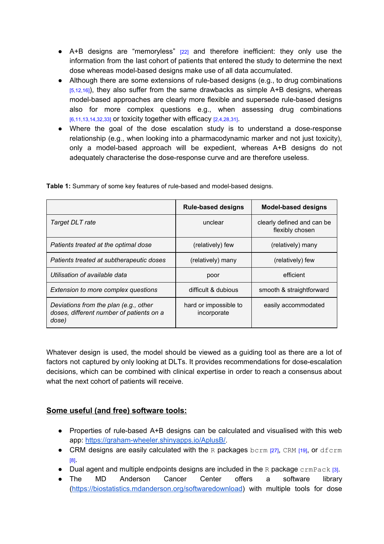- A+B designs are "memoryless" [22] and therefore inefficient: they only use the information from the last cohort of patients that entered the study to determine the next dose whereas model-based designs make use of all data accumulated.
- Although there are some extensions of rule-based designs (e.g., to drug combinations  $[5,12,16]$ , they also suffer from the same drawbacks as simple A+B designs, whereas model-based approaches are clearly more flexible and supersede rule-based designs also for more complex questions e.g., when assessing drug combinations  $[6,11,13,14,32,33]$  or toxicity together with efficacy  $[2,4,28,31]$ .
- Where the goal of the dose escalation study is to understand a dose-response relationship (e.g., when looking into a pharmacodynamic marker and not just toxicity), only a model-based approach will be expedient, whereas A+B designs do not adequately characterise the dose-response curve and are therefore useless.

|                                                                                            | <b>Rule-based designs</b>            | <b>Model-based designs</b>                    |
|--------------------------------------------------------------------------------------------|--------------------------------------|-----------------------------------------------|
| Target DLT rate                                                                            | unclear                              | clearly defined and can be<br>flexibly chosen |
| Patients treated at the optimal dose                                                       | (relatively) few                     | (relatively) many                             |
| Patients treated at subtherapeutic doses                                                   | (relatively) many                    | (relatively) few                              |
| Utilisation of available data                                                              | poor                                 | efficient                                     |
| Extension to more complex questions                                                        | difficult & dubious                  | smooth & straightforward                      |
| Deviations from the plan (e.g., other<br>doses, different number of patients on a<br>dose) | hard or impossible to<br>incorporate | easily accommodated                           |

**Table 1:** Summary of some key features of rule-based and model-based designs.

Whatever design is used, the model should be viewed as a guiding tool as there are a lot of factors not captured by only looking at DLTs. It provides recommendations for dose-escalation decisions, which can be combined with clinical expertise in order to reach a consensus about what the next cohort of patients will receive.

## **Some useful (and free) software tools:**

- Properties of rule-based A+B designs can be calculated and visualised with this web app: https://graham-wheeler.shinyapps.io/AplusB/.
- CRM designs are easily calculated with the R packages bcrm [27], CRM [19], or dfcrm [8].
- Dual agent and multiple endpoints designs are included in the R package  $\text{crmPack}$  [3].
- The MD Anderson Cancer Center offers a software library [\(https://biostatistics.mdanderson.org/softwaredownload\)](https://biostatistics.mdanderson.org/softwaredownload) with multiple tools for dose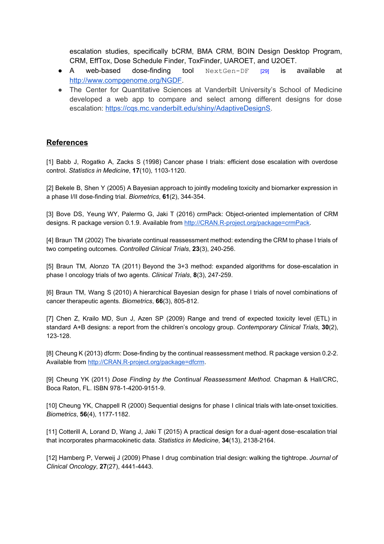escalation studies, specifically bCRM, BMA CRM, BOIN Design Desktop Program, CRM, EffTox, Dose Schedule Finder, ToxFinder, UAROET, and U2OET.

- A web-based dose-finding tool  $NextGen-DF$  [29] is available at [http://www.compgenome.org/NGDF.](http://www.compgenome.org/NGDF/)
- The Center for Quantitative Sciences at Vanderbilt University's School of Medicine developed a web app to compare and select among different designs for dose escalation: [https://cqs.mc.vanderbilt.edu/shiny/AdaptiveDesignS.](https://cqs.mc.vanderbilt.edu/shiny/AdaptiveDesignS)

## **References**

[1] Babb J, Rogatko A, Zacks S (1998) Cancer phase I trials: efficient dose escalation with overdose control. *Statistics in Medicine*, **17**(10), 11031120.

[2] Bekele B, Shen Y (2005) A Bayesian approach to jointly modeling toxicity and biomarker expression in a phase I/II dose-finding trial. *Biometrics*, 61(2), 344-354.

[3] Bove DS, Yeung WY, Palermo G, Jaki T (2016) crmPack: Object-oriented implementation of CRM designs. R package version 0.1.9. Available from http://CRAN.R-project.org/package=crmPack.

[4] Braun TM (2002) The bivariate continual reassessment method: extending the CRM to phase I trials of two competing outcomes. Controlled Clinical Trials, 23(3), 240-256.

[5] Braun TM, Alonzo TA (2011) Beyond the 3+3 method: expanded algorithms for dose-escalation in phase I oncology trials of two agents. *Clinical Trials*, 8(3), 247-259.

[6] Braun TM, Wang S (2010) A hierarchical Bayesian design for phase I trials of novel combinations of cancer therapeutic agents. *Biometrics*, **66**(3), 805-812.

[7] Chen Z, Krailo MD, Sun J, Azen SP (2009) Range and trend of expected toxicity level (ETL) in standard A+B designs: a report from the children's oncology group. *Contemporary Clinical Trials*, **30**(2), 123-128.

[8] Cheung K (2013) dfcrm: Dose-finding by the continual reassessment method. R package version 0.2-2. Available from http://CRAN.R-project.org/package=dfcrm.

[9] Cheung YK (2011) *Dose Finding by the Continual Reassessment Method.* Chapman & Hall/CRC, Boca Raton, FL. ISBN 978-1-4200-9151-9.

[10] Cheung YK, Chappell R (2000) Sequential designs for phase I clinical trials with late-onset toxicities. *Biometrics*, **56**(4), 1177-1182.

[11] Cotterill A, Lorand D, Wang J, Jaki T (2015) A practical design for a dual-agent dose-escalation trial that incorporates pharmacokinetic data. *Statistics in Medicine*, 34(13), 2138-2164.

[12] Hamberg P, Verweij J (2009) Phase I drug combination trial design: walking the tightrope. *Journal of Clinical Oncology*, 27(27), 4441-4443.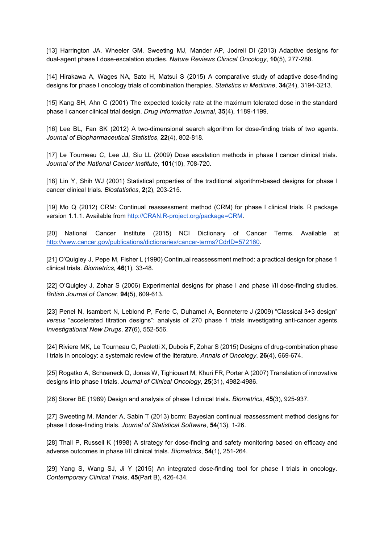[13] Harrington JA, Wheeler GM, Sweeting MJ, Mander AP, Jodrell DI (2013) Adaptive designs for dual-agent phase I dose-escalation studies. Nature Reviews Clinical Oncology, 10(5), 277-288.

[14] Hirakawa A, Wages NA, Sato H, Matsui S (2015) A comparative study of adaptive dose-finding designs for phase I oncology trials of combination therapies. Statistics in Medicine, 34(24), 3194-3213.

[15] Kang SH, Ahn C (2001) The expected toxicity rate at the maximum tolerated dose in the standard phase I cancer clinical trial design. *Drug Information Journal*, 35(4), 1189-1199.

[16] Lee BL, Fan SK (2012) A two-dimensional search algorithm for dose-finding trials of two agents. *Journal of Biopharmaceutical Statistics, 22(4), 802-818.* 

[17] Le Tourneau C, Lee JJ, Siu LL (2009) Dose escalation methods in phase I cancer clinical trials. *Journal of the National Cancer Institute, 101(10), 708-720.* 

[18] Lin Y, Shih WJ (2001) Statistical properties of the traditional algorithm-based designs for phase I cancer clinical trials. *Biostatistics*, 2(2), 203-215.

[19] Mo Q (2012) CRM: Continual reassessment method (CRM) for phase I clinical trials. R package version 1.1.1. Available from http://CRAN.R-project.org/package=CRM.

[20] National Cancer Institute (2015) NCI Dictionary of Cancer Terms. Available at http://www.cancer.gov/publications/dictionaries/cancer-terms?CdrID=572160.

[21] O'Quigley J, Pepe M, Fisher L (1990) Continual reassessment method: a practical design for phase 1 clinical trials. *Biometrics*, **46**(1), 3348.

[22] O'Quigley J, Zohar S (2006) Experimental designs for phase I and phase I/II dose-finding studies. *British Journal of Cancer*, 94(5), 609-613.

[23] Penel N, Isambert N, Leblond P, Ferte C, Duhamel A, Bonneterre J (2009) "Classical 3+3 design" *versus* "accelerated titration designs": analysis of 270 phase 1 trials investigating anti-cancer agents. *Investigational New Drugs*, 27(6), 552-556.

[24] Riviere MK, Le Tourneau C, Paoletti X, Dubois F, Zohar S (2015) Designs of drug-combination phase I trials in oncology: a systemaic review of the literature. Annals of Oncology, 26(4), 669-674.

[25] Rogatko A, Schoeneck D, Jonas W, Tighiouart M, Khuri FR, Porter A (2007) Translation of innovative designs into phase I trials. *Journal of Clinical Oncology*, **25**(31), 49824986.

[26] Storer BE (1989) Design and analysis of phase I clinical trials. *Biometrics*, 45(3), 925-937.

[27] Sweeting M, Mander A, Sabin T (2013) bcrm: Bayesian continual reassessment method designs for phase I dose-finding trials. *Journal of Statistical Software*, 54(13), 1-26.

[28] Thall P, Russell K (1998) A strategy for dose-finding and safety monitoring based on efficacy and adverse outcomes in phase I/II clinical trials. *Biometrics*, **54**(1), 251-264.

[29] Yang S, Wang SJ, Ji Y (2015) An integrated dose-finding tool for phase I trials in oncology. *Contemporary Clinical Trials*, 45(Part B), 426-434.